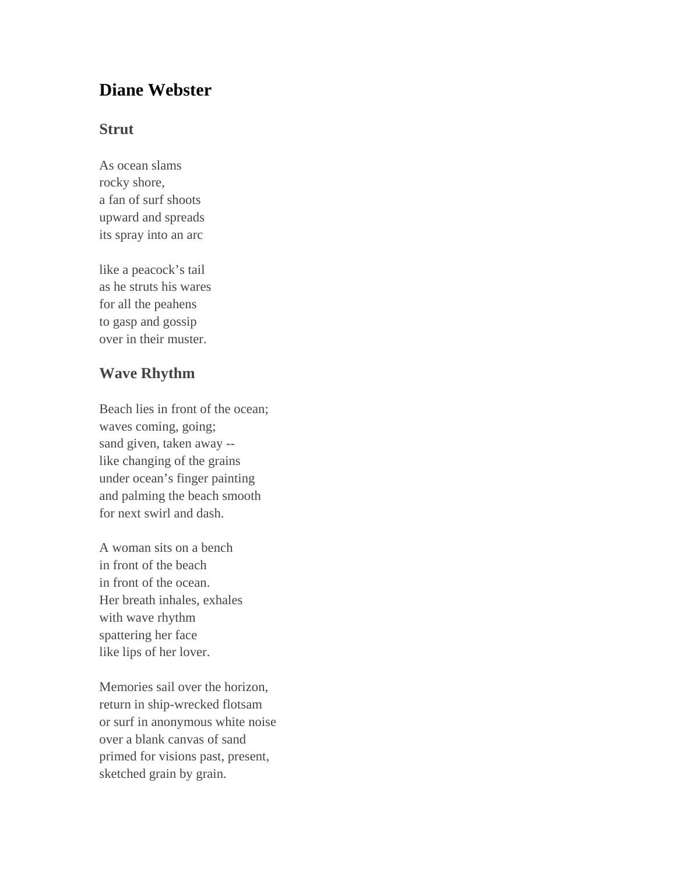## **Diane Webster**

## **Strut**

As ocean slams rocky shore, a fan of surf shoots upward and spreads its spray into an arc

like a peacock's tail as he struts his wares for all the peahens to gasp and gossip over in their muster.

## **Wave Rhythm**

Beach lies in front of the ocean; waves coming, going; sand given, taken away - like changing of the grains under ocean's finger painting and palming the beach smooth for next swirl and dash.

A woman sits on a bench in front of the beach in front of the ocean. Her breath inhales, exhales with wave rhythm spattering her face like lips of her lover.

Memories sail over the horizon, return in ship-wrecked flotsam or surf in anonymous white noise over a blank canvas of sand primed for visions past, present, sketched grain by grain.